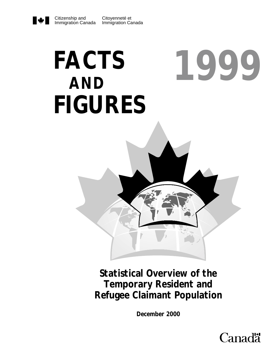# Citizenship and

# **FACTS AND FIGURES 1999**



# **Statistical Overview of the Temporary Resident and Refugee Claimant Population**

**December 2000**

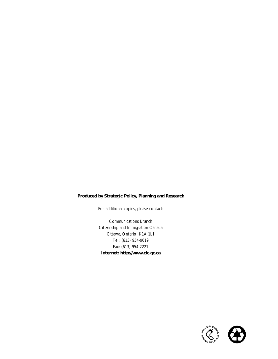#### **Produced by Strategic Policy, Planning and Research**

For additional copies, please contact:

Communications Branch Citizenship and Immigration Canada Ottawa, Ontario K1A 1L1 Tel.: (613) 954-9019 Fax: (613) 954-2221 **Internet: http://www.cic.gc.ca**

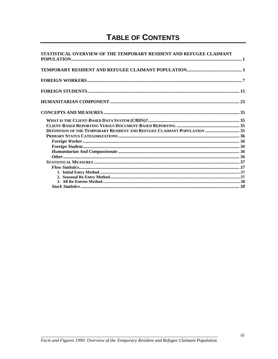# **TABLE OF CONTENTS**

| STATISTICAL OVERVIEW OF THE TEMPORARY RESIDENT AND REFUGEE CLAIMANT      |  |
|--------------------------------------------------------------------------|--|
|                                                                          |  |
|                                                                          |  |
|                                                                          |  |
|                                                                          |  |
|                                                                          |  |
|                                                                          |  |
|                                                                          |  |
| DEFINITION OF THE TEMPORARY RESIDENT AND REFUGEE CLAIMANT POPULATION  35 |  |
|                                                                          |  |
|                                                                          |  |
|                                                                          |  |
|                                                                          |  |
|                                                                          |  |
|                                                                          |  |
|                                                                          |  |
|                                                                          |  |
|                                                                          |  |
|                                                                          |  |
|                                                                          |  |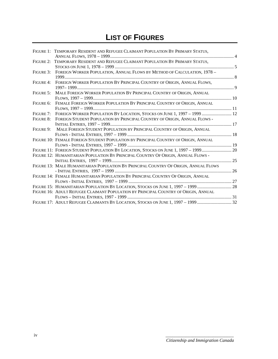# **LIST OF FIGURES**

|           | FIGURE 1: TEMPORARY RESIDENT AND REFUGEE CLAIMANT POPULATION BY PRIMARY STATUS,      |  |
|-----------|--------------------------------------------------------------------------------------|--|
| FIGURE 2: | TEMPORARY RESIDENT AND REFUGEE CLAIMANT POPULATION BY PRIMARY STATUS,                |  |
| FIGURE 3: | FOREIGN WORKER POPULATION, ANNUAL FLOWS BY METHOD OF CALCULATION, 1978 -             |  |
| FIGURE 4: | FOREIGN WORKER POPULATION BY PRINCIPAL COUNTRY OF ORIGIN, ANNUAL FLOWS,              |  |
| FIGURE 5: | MALE FOREIGN WORKER POPULATION BY PRINCIPAL COUNTRY OF ORIGIN, ANNUAL                |  |
| FIGURE 6: | FEMALE FOREIGN WORKER POPULATION BY PRINCIPAL COUNTRY OF ORIGIN, ANNUAL              |  |
| FIGURE 7: | FOREIGN WORKER POPULATION BY LOCATION, STOCKS ON JUNE 1, 1997 - 1999  12             |  |
| FIGURE 8: | FOREIGN STUDENT POPULATION BY PRINCIPAL COUNTRY OF ORIGIN, ANNUAL FLOWS -            |  |
|           |                                                                                      |  |
| FIGURE 9: | MALE FOREIGN STUDENT POPULATION BY PRINCIPAL COUNTRY OF ORIGIN, ANNUAL               |  |
|           |                                                                                      |  |
|           | FIGURE 10: FEMALE FOREIGN STUDENT POPULATION BY PRINCIPAL COUNTRY OF ORIGIN, ANNUAL  |  |
|           | FIGURE 11: FOREIGN STUDENT POPULATION BY LOCATION, STOCKS ON JUNE 1, 1997 - 1999 20  |  |
|           | FIGURE 12: HUMANITARIAN POPULATION BY PRINCIPAL COUNTRY OF ORIGIN, ANNUAL FLOWS -    |  |
|           | FIGURE 13: MALE HUMANITARIAN POPULATION BY PRINCIPAL COUNTRY OF ORIGIN, ANNUAL FLOWS |  |
|           | FIGURE 14: FEMALE HUMANITARIAN POPULATION BY PRINCIPAL COUNTRY OF ORIGIN, ANNUAL     |  |
|           |                                                                                      |  |
|           | FIGURE 15: HUMANITARIAN POPULATION BY LOCATION, STOCKS ON JUNE 1, 1997 - 1999  28    |  |
|           | FIGURE 16: ADULT REFUGEE CLAIMANT POPULATION BY PRINCIPAL COUNTRY OF ORIGIN, ANNUAL  |  |
|           | FIGURE 17: ADULT REFUGEE CLAIMANTS BY LOCATION, STOCKS ON JUNE 1, 1997 - 1999  32    |  |
|           |                                                                                      |  |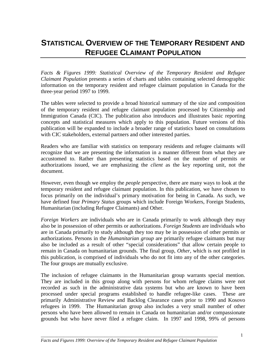# **STATISTICAL OVERVIEW OF THE TEMPORARY RESIDENT AND REFUGEE CLAIMANT POPULATION**

*Facts & Figures 1999: Statistical Overview of the Temporary Resident and Refugee Claimant Population* presents a series of charts and tables containing selected demographic information on the temporary resident and refugee claimant population in Canada for the three-year period 1997 to 1999.

The tables were selected to provide a broad historical summary of the size and composition of the temporary resident and refugee claimant population processed by Citizenship and Immigration Canada (CIC). The publication also introduces and illustrates basic reporting concepts and statistical measures which apply to this population. Future versions of this publication will be expanded to include a broader range of statistics based on consultations with CIC stakeholders, external partners and other interested parties.

Readers who are familiar with statistics on temporary residents and refugee claimants will recognize that we are presenting the information in a manner different from what they are accustomed to. Rather than presenting statistics based on the number of permits or authorizations issued, we are emphasizing the *client* as the key reporting unit, not the document.

However, even though we employ the *people* perspective, there are many ways to look at the temporary resident and refugee claimant population. In this publication, we have chosen to focus primarily on the individual's primary motivation for being in Canada. As such, we have defined four *Primary Status* groups which include Foreign Workers, Foreign Students, Humanitarian (including Refugee Claimants) and Other.

*Foreign Workers* are individuals who are in Canada primarily to work although they may also be in possession of other permits or authorizations. *Foreign Students* are individuals who are in Canada primarily to study although they too may be in possession of other permits or authorizations. Persons in the *Humanitarian group* are primarily refugee claimants but may also be included as a result of other "special considerations" that allow certain people to remain in Canada on humanitarian grounds. The final group, *Other*, which is not profiled in this publication, is comprised of individuals who do not fit into any of the other categories. The four groups are mutually exclusive.

The inclusion of refugee claimants in the Humanitarian group warrants special mention. They are included in this group along with persons for whom refugee claims were not recorded as such in the administrative data systems but who are known to have been processed under special programs established to handle refugee-like cases. These are primarily Administrative Review and Backlog Clearance cases prior to 1990 and Kosovo refugees in 1999. The Humanitarian group also includes a very small number of other persons who have been allowed to remain in Canada on humanitarian and/or compassionate grounds but who have never filed a refugee claim. In 1997 and 1998, 99% of persons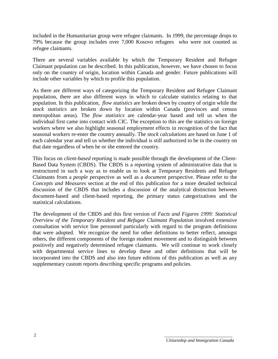included in the Humanitarian group were refugee claimants. In 1999, the percentage drops to 79% because the group includes over 7,000 Kosovo refugees who were not counted as refugee claimants.

There are several variables available by which the Temporary Resident and Refugee Claimant population can be described. In this publication, however, we have chosen to focus only on the country of origin, location within Canada and gender. Future publications will include other variables by which to profile this population.

As there are different ways of categorizing the Temporary Resident and Refugee Claimant population, there are also different ways in which to calculate statistics relating to that population. In this publication, *flow statistics* are broken down by country of origin while the *stock statistics* are broken down by location within Canada (provinces and census metropolitan areas). The *flow statistics* are calendar-year based and tell us when the individual first came into contact with CIC. The exception to this are the statistics on foreign workers where we also highlight seasonal employment effects in recognition of the fact that seasonal workers re-enter the country annually. The *stock calculations* are based on June 1 of each calendar year and tell us whether the individual is still authorized to be in the country on that date regardless of when he or she entered the country.

This focus on *client-based* reporting is made possible through the development of the Client-Based Data System (CBDS). The CBDS is a reporting system of administrative data that is restructured in such a way as to enable us to look at Temporary Residents and Refugee Claimants from a *people* perspective as well as a *document* perspective. Please refer to the *Concepts and Measures* section at the end of this publication for a more detailed technical discussion of the CBDS that includes a discussion of the analytical distinction between document-based and client-based reporting, the primary status categorizations and the statistical calculations.

The development of the CBDS and this first version of *Facts and Figures 1999: Statistical Overview of the Temporary Resident and Refugee Claimant Population* involved extensive consultation with service line personnel particularly with regard to the program definitions that were adopted. We recognize the need for other definitions to better reflect, amongst others, the different components of the foreign student movement and to distinguish between positively and negatively determined refugee claimants. We will continue to work closely with departmental service lines to develop these and other definitions that will be incorporated into the CBDS and also into future editions of this publication as well as any supplementary custom reports describing specific programs and policies.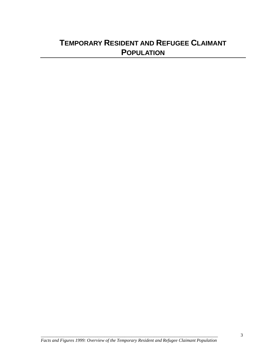# **TEMPORARY RESIDENT AND REFUGEE CLAIMANT POPULATION**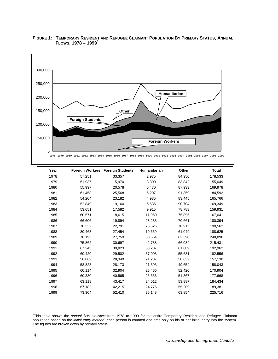



| Year | <b>Foreign Workers</b> | <b>Foreign Students</b> | Humanitarian | Other  | <b>Total</b> |
|------|------------------------|-------------------------|--------------|--------|--------------|
| 1978 | 57,251                 | 33,357                  | 2,975        | 84,950 | 178,533      |
| 1979 | 51,937                 | 15,970                  | 3,300        | 83,842 | 155,049      |
| 1980 | 55,997                 | 20,578                  | 5,470        | 87,933 | 169,978      |
| 1981 | 61,458                 | 25,568                  | 6,207        | 91,359 | 184,592      |
| 1982 | 54,204                 | 23,182                  | 4,935        | 83,445 | 165,766      |
| 1983 | 52,849                 | 19,160                  | 6,636        | 90,704 | 169,349      |
| 1984 | 53,651                 | 17,582                  | 9,915        | 78,783 | 159,931      |
| 1985 | 60,571                 | 18,615                  | 11,960       | 75,895 | 167,041      |
| 1986 | 66,606                 | 19,894                  | 23,233       | 70,661 | 180,394      |
| 1987 | 70,332                 | 22,791                  | 26,526       | 70,913 | 190,562      |
| 1988 | 80,463                 | 27,454                  | 19,659       | 61,049 | 188,625      |
| 1989 | 78,193                 | 27,759                  | 80,554       | 62,390 | 248,896      |
| 1990 | 75,862                 | 30,697                  | 42,788       | 66,084 | 215,431      |
| 1991 | 67,243                 | 30,823                  | 33,207       | 61,689 | 192,962      |
| 1992 | 60,420                 | 29,502                  | 37,003       | 55,631 | 182,556      |
| 1993 | 56,862                 | 28,349                  | 21,287       | 50,632 | 157,130      |
| 1994 | 58,823                 | 28,173                  | 21,393       | 49,654 | 158,043      |
| 1995 | 60,114                 | 32,904                  | 25,466       | 52,420 | 170,904      |
| 1996 | 60,380                 | 40,565                  | 25,356       | 51,367 | 177,668      |
| 1997 | 63,118                 | 43,417                  | 24,012       | 53,887 | 184,434      |
| 1998 | 67,182                 | 42,215                  | 24,775       | 55,209 | 189,381      |
| 1999 | 73,304                 | 52,410                  | 36,148       | 63,854 | 225,716      |

1 This table shows the *annual flow statistics* from 1978 to 1999 for the entire Temporary Resident and Refugee Claimant population based on the *initial entry method*: each person is counted one time only on his or her initial entry into the system. The figures are broken down by primary status**.**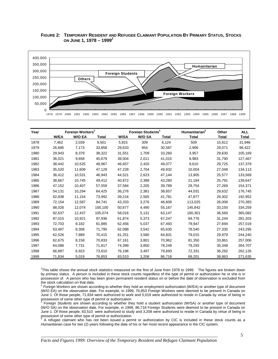



| Year |             | Foreign Workers <sup>3</sup> |         |        | Foreign Students <sup>4</sup> |              | Humanitarian <sup>5</sup> | Other  | <b>ALL</b> |
|------|-------------|------------------------------|---------|--------|-------------------------------|--------------|---------------------------|--------|------------|
|      | <b>W/EA</b> | <b>W/O EA</b>                | Total   | W/SA   | W/O SA                        | <b>Total</b> | <b>Total</b>              | Total  | Total      |
| 1978 | 7.462       | 2,039                        | 9.501   | 5,815  | 309                           | 6.124        | 509                       | 15,812 | 31,946     |
| 1979 | 26,685      | 7,173                        | 33,858  | 29,633 | 954                           | 30,587       | 2,906                     | 29,071 | 96,422     |
| 1980 | 29,943      | 8,379                        | 38,322  | 31,551 | 1,709                         | 33,260       | 3,957                     | 29,630 | 105,169    |
| 1981 | 36,021      | 9,658                        | 45,679  | 39,004 | 2,011                         | 41,015       | 8,983                     | 31,790 | 127,467    |
| 1982 | 38,442      | 10,525                       | 48,967  | 46,657 | 2,420                         | 49,077       | 9,610                     | 29,725 | 137,379    |
| 1983 | 35,520      | 11,609                       | 47,129  | 47,228 | 2,704                         | 49,932       | 10,004                    | 27,048 | 134,113    |
| 1984 | 36,412      | 10,531                       | 46,943  | 44,521 | 2,623                         | 47,144       | 13,905                    | 25,577 | 133,569    |
| 1985 | 38,667      | 10,745                       | 49,412  | 40,872 | 2,388                         | 43,260       | 21,184                    | 25,791 | 139,647    |
| 1986 | 47,152      | 10,407                       | 57,559  | 37,584 | 2,205                         | 39,789       | 29,754                    | 27,269 | 154,371    |
| 1987 | 54,131      | 10,294                       | 64,425  | 36,276 | 2,381                         | 38,657       | 44,031                    | 29,632 | 176,745    |
| 1988 | 62,838      | 11,154                       | 73,992  | 39,216 | 2,565                         | 41,781       | 47,877                    | 29,302 | 192,952    |
| 1989 | 72,154      | 12,587                       | 84,741  | 43,333 | 3,276                         | 46,609       | 113,025                   | 26,008 | 270,383    |
| 1990 | 88,026      | 12,074                       | 100,100 | 50,677 | 4,490                         | 55,167       | 145,842                   | 33,150 | 334,259    |
| 1991 | 92,637      | 12,437                       | 105,074 | 58,016 | 5,131                         | 63,147       | 160,301                   | 36,560 | 365,082    |
| 1992 | 87,015      | 10,921                       | 97,936  | 61,874 | 5,373                         | 67,247       | 84,776                    | 31,244 | 281,203    |
| 1993 | 72,703      | 9,182                        | 81,885  | 62,456 | 5,037                         | 67,493       | 79,947                    | 27,694 | 257,019    |
| 1994 | 63,487      | 8,308                        | 71,795  | 62,088 | 3,542                         | 65,630       | 78,540                    | 27,330 | 243,295    |
| 1995 | 62,526      | 7,889                        | 70,415  | 61,251 | 3,580                         | 64,831       | 79,015                    | 29,979 | 244,240    |
| 1996 | 62,675      | 8,158                        | 70,833  | 67,161 | 3,801                         | 70,962       | 81,350                    | 33,861 | 257,006    |
| 1997 | 64,086      | 7,731                        | 71,817  | 74,399 | 3,850                         | 78,249       | 79,293                    | 35,348 | 264,707    |
| 1998 | 66,887      | 6,923                        | 73,810  | 76,196 | 3,497                         | 79,693       | 72,331                    | 36,292 | 262,126    |
| 1999 | 71,834      | 5,019                        | 76,853  | 83,510 | 3,208                         | 86,718       | 69,201                    | 38,863 | 271,635    |

2 This table shows the *annual stock statistics* measured on the first of June from 1978 to 1999. The figures are broken down by *primary status*. A person is included in these stock counts regardless of the type of permit or authorization he or she is in possession of. A person who has been given permanent resident status on or before the date of observation is excluded from the stock calculation on that date.<br><sup>3</sup> *Foreign Workers* are shown according to whether they hold an employment authorization (W/EA) or another type of document

(W/O EA) on the observation date. For example, in 1999, 76,853 Foreign Workers were deemed to be present in Canada on June 1. Of those people, 71,834 were authorized to work and 5,019 were authorized to reside in Canada by virtue of being in possession of some other type of permit or authorization

<sup>4</sup> *Foreign Students* are shown according to whether they hold a student authorization (W/SA) or another type of document (W/O SA) on the observation date. For example, in 1999, 86,718 Foreign Students were deemed to be present in Canada on June 1. Of those people, 83,510 were authorized to study and 3,208 were authorized to reside in Canada by virtue of being in possession of some other type of permit or authorization.<br>5. A refugee element who hes not been issued a new

 A refugee claimant who has not been issued a permit or authorization by CIC is included in these stock counts as a *Humanitarian case* for two (2) years following the date of his or her most recent appearance in the CIC system.

*Facts and Figures 1999: Overview of the Temporary Resident and Refugee Claimant Population*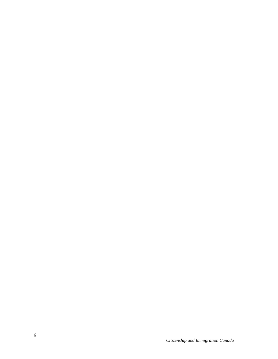#### *Citizenship and Immigration Canada*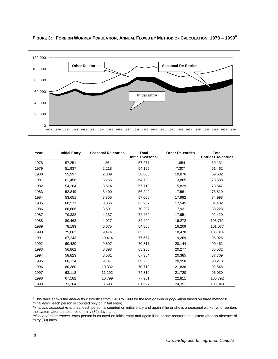



| Year | <b>Initial Entry</b> | <b>Seasonal Re-entries</b> | <b>Total</b><br>Initial+Seasonal | <b>Other Re-entries</b> | <b>Total</b><br><b>Entries+Re-entries</b> |
|------|----------------------|----------------------------|----------------------------------|-------------------------|-------------------------------------------|
| 1978 | 57,251               | 26                         | 57,277                           | 1,854                   | 59,131                                    |
| 1979 | 51,937               | 2,218                      | 54,155                           | 7,307                   | 61,462                                    |
| 1980 | 55,997               | 2,809                      | 58,806                           | 10,876                  | 69,682                                    |
| 1981 | 61,458               | 3,265                      | 64,723                           | 13,865                  | 78,588                                    |
| 1982 | 54,204               | 3,514                      | 57,718                           | 15,829                  | 73,547                                    |
| 1983 | 52,849               | 3,400                      | 56,249                           | 17,561                  | 73,810                                    |
| 1984 | 53,651               | 3,355                      | 57,006                           | 17,992                  | 74,998                                    |
| 1985 | 60,571               | 3,366                      | 63,937                           | 17,545                  | 81,482                                    |
| 1986 | 66,606               | 3,691                      | 70,297                           | 17,931                  | 88,228                                    |
| 1987 | 70,332               | 4,137                      | 74,469                           | 17,951                  | 92,420                                    |
| 1988 | 80,463               | 4,027                      | 84,490                           | 19,272                  | 103,762                                   |
| 1989 | 78,193               | 6,675                      | 84,868                           | 16,209                  | 101,077                                   |
| 1990 | 75,862               | 9,474                      | 85,336                           | 18,478                  | 103,814                                   |
| 1991 | 67,243               | 10,414                     | 77,657                           | 19,269                  | 96,926                                    |
| 1992 | 60,420               | 9,897                      | 70,317                           | 20,144                  | 90,461                                    |
| 1993 | 56,862               | 8,393                      | 65,255                           | 20,277                  | 85,532                                    |
| 1994 | 58,823               | 8,561                      | 67,384                           | 20,385                  | 87,769                                    |
| 1995 | 60,114               | 9,141                      | 69,255                           | 20,958                  | 90,213                                    |
| 1996 | 60,380               | 10,332                     | 70,712                           | 21,836                  | 92,548                                    |
| 1997 | 63,118               | 11,192                     | 74,310                           | 21,720                  | 96,030                                    |
| 1998 | 67,182               | 10,799                     | 77,981                           | 22,811                  | 100,792                                   |
| 1999 | 73,304               | 8,693                      | 81,997                           | 24,351                  | 106,348                                   |

6 This table shows the *annual flow statistics* from 1978 to 1999 for the *foreign worker population* based on three methods: *Initial entry*: each person is counted only on initial entry;

*Initial and seasonal re-entries*: each person is counted on initial entry and again if he or she is a seasonal worker who reenters the system after an absence of thirty (30) days; and,

*Initial and all re-entries*: each person is counted on initial entry and again if he or she reenters the system after an absence of thirty (30) days.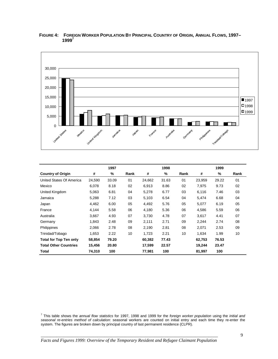

**FIGURE 4: FOREIGN WORKER POPULATION BY PRINCIPAL COUNTRY OF ORIGIN, ANNUAL FLOWS, 1997– 1999<sup>7</sup>**

|                               |        | 1997  |      |        | 1998  |      |        | 1999  |      |
|-------------------------------|--------|-------|------|--------|-------|------|--------|-------|------|
| <b>Country of Origin</b>      | #      | %     | Rank | #      | %     | Rank | #      | %     | Rank |
| United States Of America      | 24,590 | 33.09 | 01   | 24,662 | 31.63 | 01   | 23,959 | 29.22 | 01   |
| Mexico                        | 6,078  | 8.18  | 02   | 6,913  | 8.86  | 02   | 7,975  | 9.73  | 02   |
| United Kingdom                | 5,063  | 6.81  | 04   | 5,278  | 6.77  | 03   | 6,116  | 7.46  | 03   |
| Jamaica                       | 5,288  | 7.12  | 03   | 5,103  | 6.54  | 04   | 5,474  | 6.68  | 04   |
| Japan                         | 4,462  | 6.00  | 05   | 4,492  | 5.76  | 05   | 5,077  | 6.19  | 05   |
| France                        | 4,144  | 5.58  | 06   | 4,180  | 5.36  | 06   | 4,586  | 5.59  | 06   |
| Australia                     | 3,667  | 4.93  | 07   | 3,730  | 4.78  | 07   | 3,617  | 4.41  | 07   |
| Germany                       | 1,843  | 2.48  | 09   | 2,111  | 2.71  | 09   | 2,244  | 2.74  | 08   |
| Philippines                   | 2,066  | 2.78  | 08   | 2,190  | 2.81  | 08   | 2,071  | 2.53  | 09   |
| Trinidad/Tobago               | 1,653  | 2.22  | 10   | 1,723  | 2.21  | 10   | 1,634  | 1.99  | 10   |
| <b>Total for Top Ten only</b> | 58,854 | 79.20 |      | 60,382 | 77.43 |      | 62,753 | 76.53 |      |
| <b>Total Other Countries</b>  | 15,456 | 20.80 |      | 17,599 | 22.57 |      | 19,244 | 23.47 |      |
| Total                         | 74,310 | 100   |      | 77,981 | 100   |      | 81,997 | 100   |      |

<sup>7</sup> This table shows the *annual flow statistics* for 1997, 1998 and 1999 for the *foreign worker population* using the *initial and seasonal re-entries method of calculation*: seasonal workers are counted on initial entry and each time they re-enter the system. The figures are broken down by principal country of last permanent residence (CLPR).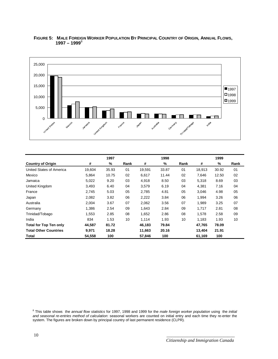

**FIGURE 5: MALE FOREIGN WORKER POPULATION BY PRINCIPAL COUNTRY OF ORIGIN, ANNUAL FLOWS, 1997 – 1999**<sup>8</sup>

|                               |        | 1997  |      |        | 1998  |      |        | 1999  |      |
|-------------------------------|--------|-------|------|--------|-------|------|--------|-------|------|
| <b>Country of Origin</b>      | #      | %     | Rank | #      | %     | Rank | #      | %     | Rank |
| United States of America      | 19,604 | 35.93 | 01   | 19,591 | 33.87 | 01   | 18,913 | 30.92 | 01   |
| Mexico                        | 5.864  | 10.75 | 02   | 6,617  | 11.44 | 02   | 7.646  | 12.50 | 02   |
| Jamaica                       | 5,022  | 9.20  | 03   | 4,918  | 8.50  | 03   | 5,318  | 8.69  | 03   |
| United Kingdom                | 3,493  | 6.40  | 04   | 3,579  | 6.19  | 04   | 4,381  | 7.16  | 04   |
| France                        | 2,745  | 5.03  | 05   | 2,785  | 4.81  | 05   | 3,046  | 4.98  | 05   |
| Japan                         | 2,082  | 3.82  | 06   | 2,222  | 3.84  | 06   | 1.994  | 3.26  | 06   |
| Australia                     | 2,004  | 3.67  | 07   | 2,062  | 3.56  | 07   | 1,989  | 3.25  | 07   |
| Germany                       | 1.386  | 2.54  | 09   | 1,643  | 2.84  | 09   | 1,717  | 2.81  | 08   |
| Trinidad/Tobago               | 1,553  | 2.85  | 08   | 1,652  | 2.86  | 08   | 1,578  | 2.58  | 09   |
| India                         | 834    | 1.53  | 10   | 1,114  | 1.93  | 10   | 1,183  | 1.93  | 10   |
| <b>Total for Top Ten only</b> | 44,587 | 81.72 |      | 46,183 | 79.84 |      | 47,765 | 78.09 |      |
| <b>Total Other Countries</b>  | 9,971  | 18.28 |      | 11,663 | 20.16 |      | 13,404 | 21.91 |      |
| Total                         | 54,558 | 100   |      | 57,846 | 100   |      | 61,169 | 100   |      |

<sup>8</sup> This table shows the *annual flow statistics* for 1997, 1998 and 1999 for the *male foreign worker population* using the *initial and seasonal re-entries method of calculation*: seasonal workers are counted on initial entry and each time they re-enter the system. The figures are broken down by principal country of last permanent residence (CLPR).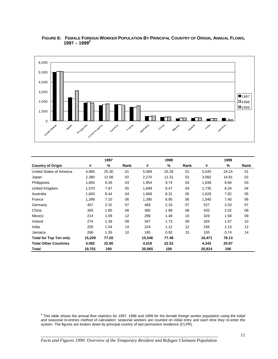

**FIGURE 6: FEMALE FOREIGN WORKER POPULATION BY PRINCIPAL COUNTRY OF ORIGIN, ANNUAL FLOWS, 1997 – 1999<sup>9</sup>**

|                               |        | 1997  |      |        | 1998  |      |        | 1999  |      |
|-------------------------------|--------|-------|------|--------|-------|------|--------|-------|------|
| <b>Country of Origin</b>      | #      | %     | Rank | #      | %     | Rank | #      | %     | Rank |
| United States of America      | 4,985  | 25.30 | 01   | 5,069  | 25.26 | 01   | 5,045  | 24.24 | 01   |
| Japan                         | 2,380  | 12.08 | 02   | 2,270  | 11.31 | 02   | 3,082  | 14.81 | 02   |
| Philippines                   | 1,850  | 9.39  | 03   | 1,954  | 9.74  | 03   | 1,839  | 8.84  | 03   |
| United Kingdom                | 1,570  | 7.97  | 05   | 1,699  | 8.47  | 04   | 1,735  | 8.34  | 04   |
| Australia                     | 1,663  | 8.44  | 04   | 1,668  | 8.31  | 05   | 1,628  | 7.82  | 05   |
| France                        | 1,399  | 7.10  | 06   | 1,395  | 6.95  | 06   | 1,540  | 7.40  | 06   |
| Germany                       | 457    | 2.32  | 07   | 468    | 2.33  | 07   | 527    | 2.53  | 07   |
| China                         | 365    | 1.85  | 08   | 380    | 1.89  | 08   | 420    | 2.02  | 08   |
| Mexico                        | 214    | 1.09  | 12   | 296    | 1.48  | 10   | 329    | 1.58  | 09   |
| Ireland                       | 274    | 1.39  | 09   | 347    | 1.73  | 09   | 326    | 1.57  | 10   |
| India                         | 205    | 1.04  | 14   | 224    | 1.12  | 12   | 236    | 1.13  | 12   |
| Jamaica                       | 266    | 1.35  | 10   | 185    | 0.92  | 15   | 155    | 0.74  | 14   |
| <b>Total for Top Ten only</b> | 15,209 | 77.20 |      | 15,546 | 77.48 |      | 16,471 | 79.13 |      |
| <b>Total Other Countries</b>  | 4,492  | 22.80 |      | 4,519  | 22.52 |      | 4,343  | 20.87 |      |
| Total                         | 19,701 | 100   |      | 20,065 | 100   |      | 20,814 | 100   |      |

9 This table shows the *annual flow statistics* for 1997, 1998 and 1999 for the *female foreign worker population* using the i*nitial and seasonal re-entries method of calculation*: seasonal workers are counted on initial entry and each time they re-enter the system. The figures are broken down by principal country of last permanent residence (CLPR).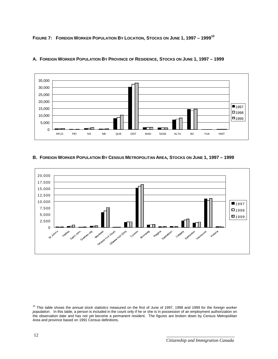**FIGURE 7: FOREIGN WORKER POPULATION BY LOCATION, STOCKS ON JUNE 1, 1997 – 1999<sup>10</sup>**



#### **A. FOREIGN WORKER POPULATION BY PROVINCE OF RESIDENCE, STOCKS ON JUNE 1, 1997 – 1999**

#### **B. FOREIGN WORKER POPULATION BY CENSUS METROPOLITAN AREA, STOCKS ON JUNE 1, 1997 – 1999**



<sup>10</sup> This table shows the *annual stock statistics* measured on the first of June of 1997, 1998 and 1999 for the *foreign worker population.* In this table, a person is included in the count only if he or she is in possession of an employment authorization on the observation date and has not yet become a permanent resident. The figures are broken down by Census Metropolitan Area and province based on 1991 Census definitions.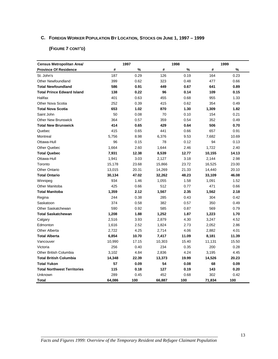#### **C. FOREIGN WORKER POPULATION BY LOCATION, STOCKS ON JUNE 1, 1997 – 1999**

#### **(FIGURE 7 CONT'D)**

| <b>Census Metropolitan Area/</b>   |        | 1997  |        | 1998  |        | 1999  |
|------------------------------------|--------|-------|--------|-------|--------|-------|
| <b>Province Of Residence</b>       | #      | %     | #      | %     | #      | %     |
| St. John's                         | 187    | 0.29  | 126    | 0.19  | 164    | 0.23  |
| <b>Other Newfoundland</b>          | 399    | 0.62  | 323    | 0.48  | 477    | 0.66  |
| <b>Total Newfoundland</b>          | 586    | 0.91  | 449    | 0.67  | 641    | 0.89  |
| <b>Total Prince Edward Island</b>  | 138    | 0.22  | 96     | 0.14  | 109    | 0.15  |
| Halifax                            | 401    | 0.63  | 455    | 0.68  | 955    | 1.33  |
| Other Nova Scotia                  | 252    | 0.39  | 415    | 0.62  | 354    | 0.49  |
| <b>Total Nova Scotia</b>           | 653    | 1.02  | 870    | 1.30  | 1,309  | 1.82  |
| Saint John                         | 50     | 0.08  | 70     | 0.10  | 154    | 0.21  |
| <b>Other New Brunswick</b>         | 364    | 0.57  | 359    | 0.54  | 352    | 0.49  |
| <b>Total New Brunswick</b>         | 414    | 0.65  | 429    | 0.64  | 506    | 0.70  |
| Quebec                             | 415    | 0.65  | 441    | 0.66  | 657    | 0.91  |
| Montreal                           | 5.756  | 8.98  | 6,376  | 9.53  | 7.682  | 10.69 |
| Ottawa-Hull                        | 96     | 0.15  | 78     | 0.12  | 94     | 0.13  |
| <b>Other Quebec</b>                | 1,664  | 2.60  | 1,644  | 2.46  | 1,722  | 2.40  |
| <b>Total Quebec</b>                | 7,931  | 12.38 | 8,539  | 12.77 | 10,155 | 14.13 |
| Ottawa-Hull                        | 1,941  | 3.03  | 2,127  | 3.18  | 2,144  | 2.98  |
| Toronto                            | 15,178 | 23.68 | 15,866 | 23.72 | 16,525 | 23.00 |
| <b>Other Ontario</b>               | 13,015 | 20.31 | 14,269 | 21.33 | 14,440 | 20.10 |
| <b>Total Ontario</b>               | 30,134 | 47.02 | 32,262 | 48.23 | 33,109 | 46.08 |
| Winnipeg                           | 934    | 1.46  | 1,055  | 1.58  | 1,091  | 1.52  |
| Other Manitoba                     | 425    | 0.66  | 512    | 0.77  | 471    | 0.66  |
| <b>Total Manitoba</b>              | 1,359  | 2.12  | 1,567  | 2.35  | 1,562  | 2.18  |
| Regina                             | 244    | 0.38  | 285    | 0.43  | 304    | 0.42  |
| Saskatoon                          | 374    | 0.58  | 382    | 0.57  | 350    | 0.49  |
| Other Saskatchewan                 | 590    | 0.92  | 585    | 0.87  | 569    | 0.79  |
| <b>Total Saskatchewan</b>          | 1,208  | 1.88  | 1,252  | 1.87  | 1,223  | 1.70  |
| Calgary                            | 2,516  | 3.93  | 2,879  | 4.30  | 3,247  | 4.52  |
| Edmonton                           | 1,616  | 2.52  | 1,824  | 2.73  | 2,052  | 2.86  |
| Other Alberta                      | 2,722  | 4.25  | 2,714  | 4.06  | 2,882  | 4.01  |
| <b>Total Alberta</b>               | 6,854  | 10.70 | 7,417  | 11.09 | 8,181  | 11.39 |
| Vancouver                          | 10,990 | 17.15 | 10,303 | 15.40 | 11,131 | 15.50 |
| Victoria                           | 256    | 0.40  | 234    | 0.35  | 200    | 0.28  |
| <b>Other British Columbia</b>      | 3,102  | 4.84  | 2,836  | 4.24  | 3,195  | 4.45  |
| <b>Total British Columbia</b>      | 14,348 | 22.39 | 13,373 | 19.99 | 14,526 | 20.23 |
| <b>Total Yukon</b>                 | 57     | 0.09  | 54     | 0.08  | 68     | 0.09  |
| <b>Total Northwest Territories</b> | 115    | 0.18  | 127    | 0.19  | 143    | 0.20  |
| Unknown                            | 289    | 0.45  | 452    | 0.68  | 302    | 0.42  |
| Total                              | 64.086 | 100   | 66.887 | 100   | 71,834 | 100   |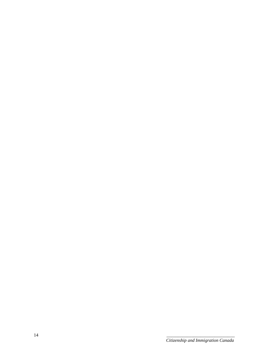#### *Citizenship and Immigration Canada*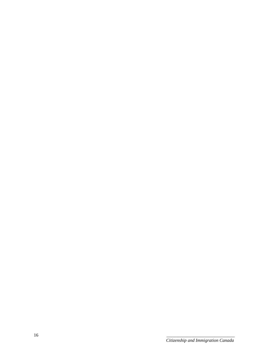#### *Citizenship and Immigration Canada*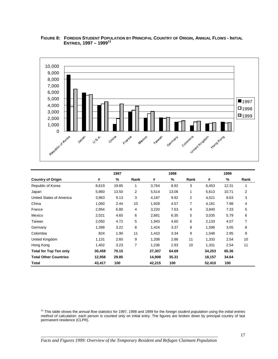

#### **FIGURE 8: FOREIGN STUDENT POPULATION BY PRINCIPAL COUNTRY OF ORIGIN, ANNUAL FLOWS - INITIAL ENTRIES, 1997 – 1999***<sup>11</sup>*

|                               |        | 1997  |      |        | 1998  |                |        | 1999  |      |
|-------------------------------|--------|-------|------|--------|-------|----------------|--------|-------|------|
| <b>Country of Origin</b>      | #      | %     | Rank | #      | %     | Rank           | #      | %     | Rank |
| Republic of Korea             | 8,619  | 19.85 | 1    | 3,764  | 8.92  | 3              | 6,453  | 12.31 |      |
| Japan                         | 5,860  | 13.50 | 2    | 5,514  | 13.06 | 1              | 5,613  | 10.71 | 2    |
| United States of America      | 3,963  | 9.13  | 3    | 4,187  | 9.92  | $\overline{2}$ | 4,521  | 8.63  | 3    |
| China                         | 1,060  | 2.44  | 10   | 1,928  | 4.57  | 7              | 4,181  | 7.98  | 4    |
| France                        | 2,954  | 6.80  | 4    | 3,220  | 7.63  | 4              | 3,840  | 7.33  | 5    |
| Mexico                        | 2,021  | 4.65  | 6    | 2,681  | 6.35  | 5              | 3,035  | 5.79  | 6    |
| Taiwan                        | 2,050  | 4.72  | 5    | 1,943  | 4.60  | 6              | 2,133  | 4.07  |      |
| Germany                       | 1,399  | 3.22  | 8    | 1,424  | 3.37  | 8              | 1,596  | 3.05  | 8    |
| Colombia                      | 824    | 1.90  | 11   | 1,410  | 3.34  | 9              | 1,548  | 2.95  | 9    |
| <b>United Kingdom</b>         | 1,131  | 2.60  | 9    | 1,208  | 2.86  | 11             | 1,333  | 2.54  | 10   |
| Hong Kong                     | 1,402  | 3.23  | 7    | 1,236  | 2.93  | 10             | 1,331  | 2.54  | 11   |
| <b>Total for Top Ten only</b> | 30,459 | 70.15 |      | 27,307 | 64.69 |                | 34,253 | 65.36 |      |
| <b>Total Other Countries</b>  | 12,958 | 29.85 |      | 14,908 | 35.31 |                | 18,157 | 34.64 |      |
| Total                         | 43,417 | 100   |      | 42,215 | 100   |                | 52,410 | 100   |      |

11 This table shows the *annual flow statistics* for 1997, 1998 and 1999 for the *foreign student population* using the *initial entries method of calculation*: each person is counted only on initial entry. The figures are broken down by principal country of last permanent residence (CLPR).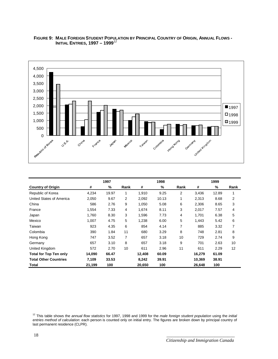

**FIGURE 9: MALE FOREIGN STUDENT POPULATION BY PRINCIPAL COUNTRY OF ORIGIN, ANNUAL FLOWS - INITIAL ENTRIES, 1997 – 1999***<sup>12</sup>*

|                              |        | 1997  |                |        | 1998  |      |        | 1999  |      |
|------------------------------|--------|-------|----------------|--------|-------|------|--------|-------|------|
| <b>Country of Origin</b>     | #      | %     | Rank           | #      | %     | Rank | #      | %     | Rank |
| Republic of Korea            | 4,234  | 19.97 |                | 1.910  | 9.25  | 2    | 3.436  | 12.89 | 1    |
| United States of America     | 2,050  | 9.67  | 2              | 2,092  | 10.13 | 1    | 2,313  | 8.68  | 2    |
| China                        | 586    | 2.76  | 9              | 1,050  | 5.08  | 6    | 2,306  | 8.65  | 3    |
| France                       | 1,554  | 7.33  | 4              | 1,674  | 8.11  | 3    | 2,017  | 7.57  | 4    |
| Japan                        | 1,760  | 8.30  | 3              | 1,596  | 7.73  | 4    | 1,701  | 6.38  | 5    |
| Mexico                       | 1,007  | 4.75  | 5              | 1,238  | 6.00  | 5    | 1,443  | 5.42  | 6    |
| Taiwan                       | 923    | 4.35  | 6              | 854    | 4.14  | 7    | 885    | 3.32  | 7    |
| Colombia                     | 390    | 1.84  | 11             | 680    | 3.29  | 8    | 748    | 2.81  | 8    |
| Hong Kong                    | 747    | 3.52  | $\overline{7}$ | 657    | 3.18  | 10   | 729    | 2.74  | 9    |
| Germany                      | 657    | 3.10  | 8              | 657    | 3.18  | 9    | 701    | 2.63  | 10   |
| United Kingdom               | 572    | 2.70  | 10             | 611    | 2.96  | 11   | 611    | 2.29  | 12   |
| Total for Top Ten only       | 14,090 | 66.47 |                | 12,408 | 60.09 |      | 16,279 | 61.09 |      |
| <b>Total Other Countries</b> | 7,109  | 33.53 |                | 8,242  | 39.91 |      | 10,369 | 38.91 |      |
| Total                        | 21,199 | 100   |                | 20,650 | 100   |      | 26,648 | 100   |      |

<sup>12</sup> This table shows the *annual flow statistics* for 1997, 1998 and 1999 for the *male foreign student population* using the *initial entries method of calculation*: each person is counted only on initial entry. The figures are broken down by principal country of last permanent residence (CLPR).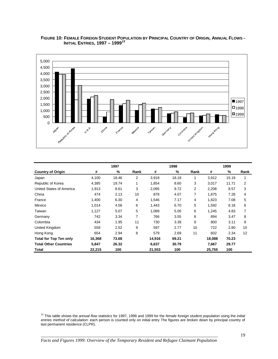

**FIGURE 10: FEMALE FOREIGN STUDENT POPULATION BY PRINCIPAL COUNTRY OF ORIGIN, ANNUAL FLOWS - INITIAL ENTRIES, 1997 – 1999***<sup>13</sup>*

|                               |        | 1997  |                |        | 1998  |      |        | 1999          |      |
|-------------------------------|--------|-------|----------------|--------|-------|------|--------|---------------|------|
| <b>Country of Origin</b>      | #      | %     | Rank           | #      | %     | Rank | #      | $\frac{9}{6}$ | Rank |
| Japan                         | 4,100  | 18.46 | $\overline{2}$ | 3,918  | 18.18 | 1    | 3,912  | 15.19         |      |
| Republic of Korea             | 4,385  | 19.74 |                | 1,854  | 8.60  | 3    | 3,017  | 11.71         | 2    |
| United States of America      | 1,913  | 8.61  | 3              | 2,095  | 9.72  | 2    | 2,208  | 8.57          | 3    |
| China                         | 474    | 2.13  | 10             | 878    | 4.07  | 7    | 1,875  | 7.28          | 4    |
| France                        | 1,400  | 6.30  | 4              | 1,546  | 7.17  | 4    | 1,823  | 7.08          | 5    |
| Mexico                        | 1,014  | 4.56  | 6              | 1,443  | 6.70  | 5    | 1,592  | 6.18          | 6    |
| Taiwan                        | 1,127  | 5.07  | 5              | 1,089  | 5.05  | 6    | 1,245  | 4.83          | 7    |
| Germany                       | 742    | 3.34  | 7              | 766    | 3.55  | 8    | 894    | 3.47          | 8    |
| Colombia                      | 434    | 1.95  | 11             | 730    | 3.39  | 9    | 800    | 3.11          | 9    |
| United Kingdom                | 559    | 2.52  | 9              | 597    | 2.77  | 10   | 722    | 2.80          | 10   |
| Hong Kong                     | 654    | 2.94  | 8              | 579    | 2.69  | 11   | 602    | 2.34          | 12   |
| <b>Total for Top Ten only</b> | 16,368 | 73.68 |                | 14,916 | 69.21 |      | 18,088 | 70.23         |      |
| <b>Total Other Countries</b>  | 5,847  | 26.32 |                | 6,637  | 30.79 |      | 7,667  | 29.77         |      |
| Total                         | 22,215 | 100   |                | 21,553 | 100   |      | 25,755 | 100           |      |

13 This table shows the *annual flow statistics* for 1997, 1998 and 1999 for the *female foreign student population* using the *initial entries method of calculation*: each person is counted only on initial entry The figures are broken down by principal country of last permanent residence (CLPR).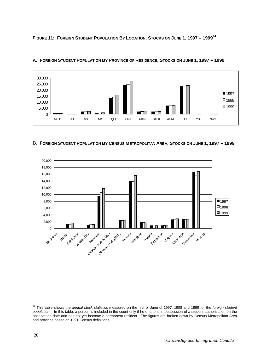**FIGURE 11: FOREIGN STUDENT POPULATION BY LOCATION, STOCKS ON JUNE 1, 1997 – 1999<sup>14</sup>**



#### **A**. **FOREIGN STUDENT POPULATION BY PROVINCE OF RESIDENCE, STOCKS ON JUNE 1, 1997 – 1999**

#### **B. FOREIGN STUDENT POPULATION BY CENSUS METROPOLITAN AREA, STOCKS ON JUNE 1, 1997 – 1999**



<sup>14</sup> This table shows the *annual stock statistics* measured on the first of June of 1997, 1998 and 1999 for the *foreign student population*. In this table, a person is included in the count only if he or she is in possession of a student authorization on the observation date and has not yet become a permanent resident. The figures are broken down by Census Metropolitan Area and province based on 1991 Census definitions.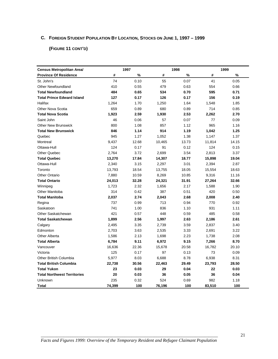#### **C. FOREIGN STUDENT POPULATION BY LOCATION, STOCKS ON JUNE 1, 1997 – 1999**

#### **(FIGURE 11 CONT'D)**

| <b>Census Metropolitan Area/</b>   |        | 1997  |        | 1998  | 1999   |       |  |
|------------------------------------|--------|-------|--------|-------|--------|-------|--|
| <b>Province Of Residence</b>       | #      | %     | #      | %     | #      | ℅     |  |
| St. John's                         | 74     | 0.10  | 55     | 0.07  | 41     | 0.05  |  |
| <b>Other Newfoundland</b>          | 410    | 0.55  | 479    | 0.63  | 554    | 0.66  |  |
| <b>Total Newfoundland</b>          | 484    | 0.65  | 534    | 0.70  | 595    | 0.71  |  |
| <b>Total Prince Edward Island</b>  | 127    | 0.17  | 126    | 0.17  | 156    | 0.19  |  |
| Halifax                            | 1,264  | 1.70  | 1,250  | 1.64  | 1,548  | 1.85  |  |
| Other Nova Scotia                  | 659    | 0.89  | 680    | 0.89  | 714    | 0.85  |  |
| <b>Total Nova Scotia</b>           | 1,923  | 2.59  | 1,930  | 2.53  | 2,262  | 2.70  |  |
| Saint John                         | 46     | 0.06  | 57     | 0.07  | 77     | 0.09  |  |
| <b>Other New Brunswick</b>         | 800    | 1.08  | 857    | 1.12  | 965    | 1.16  |  |
| <b>Total New Brunswick</b>         | 846    | 1.14  | 914    | 1.19  | 1,042  | 1.25  |  |
| Quebec                             | 945    | 1.27  | 1,052  | 1.38  | 1,147  | 1.37  |  |
| Montreal                           | 9,437  | 12.68 | 10,465 | 13.73 | 11,814 | 14.15 |  |
| Ottawa-Hull                        | 124    | 0.17  | 91     | 0.12  | 124    | 0.15  |  |
| <b>Other Quebec</b>                | 2,764  | 3.72  | 2,699  | 3.54  | 2,813  | 3.37  |  |
| <b>Total Quebec</b>                | 13,270 | 17.84 | 14,307 | 18.77 | 15,898 | 19.04 |  |
| Ottawa-Hull                        | 2,340  | 3.15  | 2,297  | 3.01  | 2,394  | 2.87  |  |
| Toronto                            | 13,793 | 18.54 | 13,755 | 18.05 | 15,554 | 18.63 |  |
| Other Ontario                      | 7,880  | 10.59 | 8,269  | 10.85 | 9,316  | 11.16 |  |
| <b>Total Ontario</b>               | 24,013 | 32.28 | 24,321 | 31.91 | 27,264 | 32.66 |  |
| Winnipeg                           | 1,723  | 2.32  | 1,656  | 2.17  | 1,588  | 1.90  |  |
| Other Manitoba                     | 314    | 0.42  | 387    | 0.51  | 420    | 0.50  |  |
| <b>Total Manitoba</b>              | 2,037  | 2.74  | 2,043  | 2.68  | 2,008  | 2.40  |  |
| Regina                             | 737    | 0.99  | 713    | 0.94  | 770    | 0.92  |  |
| Saskatoon                          | 741    | 1.00  | 836    | 1.10  | 931    | 1.11  |  |
| Other Saskatchewan                 | 421    | 0.57  | 448    | 0.59  | 485    | 0.58  |  |
| <b>Total Saskatchewan</b>          | 1,899  | 2.56  | 1,997  | 2.63  | 2,186  | 2.61  |  |
| Calgary                            | 2,495  | 3.35  | 2,739  | 3.59  | 2,837  | 3.40  |  |
| Edmonton                           | 2,703  | 3.63  | 2,535  | 3.33  | 2,691  | 3.22  |  |
| Other Alberta                      | 1,586  | 2.13  | 1,698  | 2.23  | 1,738  | 2.08  |  |
| <b>Total Alberta</b>               | 6,784  | 9.11  | 6,972  | 9.15  | 7,266  | 8.70  |  |
| Vancouver                          | 16,636 | 22.36 | 15,678 | 20.58 | 16,782 | 20.10 |  |
| Victoria                           | 125    | 0.17  | 97     | 0.13  | 73     | 0.09  |  |
| Other British Columbia             | 5,977  | 8.03  | 6,688  | 8.78  | 6,938  | 8.31  |  |
| <b>Total British Columbia</b>      | 22,738 | 30.56 | 22,463 | 29.49 | 23,793 | 28.50 |  |
| <b>Total Yukon</b>                 | 23     | 0.03  | 29     | 0.04  | 22     | 0.03  |  |
| <b>Total Northwest Territories</b> | 20     | 0.03  | 36     | 0.05  | 36     | 0.04  |  |
| Unknown                            | 235    | 0.32  | 524    | 0.69  | 982    | 1.18  |  |
| <b>Total</b>                       | 74,399 | 100   | 76,196 | 100   | 83,510 | 100   |  |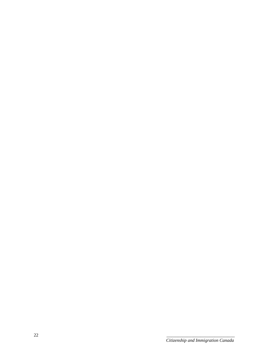#### *Citizenship and Immigration Canada*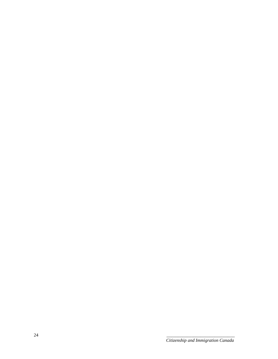#### *Citizenship and Immigration Canada*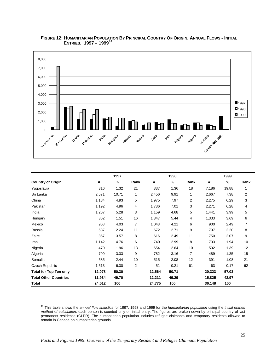

**FIGURE 12: HUMANITARIAN POPULATION BY PRINCIPAL COUNTRY OF ORIGIN, ANNUAL FLOWS - INITIAL ENTRIES, 1997 – 1999***<sup>15</sup>*

|                               |        | 1997  |      |        | 1998  |      |        | 1999  |                |
|-------------------------------|--------|-------|------|--------|-------|------|--------|-------|----------------|
| <b>Country of Origin</b>      | #      | %     | Rank | #      | %     | Rank | #      | %     | Rank           |
| Yugoslavia                    | 316    | 1.32  | 21   | 337    | 1.36  | 18   | 7,186  | 19.88 | 1              |
| Sri Lanka                     | 2,571  | 10.71 | 1    | 2,456  | 9.91  | 1    | 2,667  | 7.38  | 2              |
| China                         | 1,184  | 4.93  | 5    | 1,975  | 7.97  | 2    | 2,275  | 6.29  | 3              |
| Pakistan                      | 1,192  | 4.96  | 4    | 1,736  | 7.01  | 3    | 2,271  | 6.28  | 4              |
| India                         | 1,267  | 5.28  | 3    | 1,159  | 4.68  | 5    | 1,441  | 3.99  | 5              |
| Hungary                       | 362    | 1.51  | 16   | 1,347  | 5.44  | 4    | 1,333  | 3.69  | 6              |
| Mexico                        | 968    | 4.03  | 7    | 1,043  | 4.21  | 6    | 900    | 2.49  | $\overline{7}$ |
| Russia                        | 537    | 2.24  | 11   | 672    | 2.71  | 9    | 797    | 2.20  | 8              |
| Zaire                         | 857    | 3.57  | 8    | 616    | 2.49  | 11   | 750    | 2.07  | 9              |
| Iran                          | 1,142  | 4.76  | 6    | 740    | 2.99  | 8    | 703    | 1.94  | 10             |
| Nigeria                       | 470    | 1.96  | 13   | 654    | 2.64  | 10   | 502    | 1.39  | 12             |
| Algeria                       | 799    | 3.33  | 9    | 782    | 3.16  | 7    | 489    | 1.35  | 15             |
| Somalia                       | 585    | 2.44  | 10   | 515    | 2.08  | 12   | 391    | 1.08  | 21             |
| Czech Republic                | 1,513  | 6.30  | 2    | 51     | 0.21  | 61   | 63     | 0.17  | 62             |
| <b>Total for Top Ten only</b> | 12,078 | 50.30 |      | 12,564 | 50.71 |      | 20,323 | 57.03 |                |
| <b>Total Other Countries</b>  | 11,934 | 49.70 |      | 12,211 | 49.29 |      | 15,825 | 42.97 |                |
| Total                         | 24,012 | 100   |      | 24,775 | 100   |      | 36,148 | 100   |                |

15 This table shows the *annual flow statistics* for 1997, 1998 and 1999 for the *humanitarian population* using the *initial entries method* o*f calculation*: each person is counted only on initial entry. The figures are broken down by principal country of last permanent residence (CLPR). The humanitarian population includes refugee claimants and temporary residents allowed to remain in Canada on humanitarian grounds.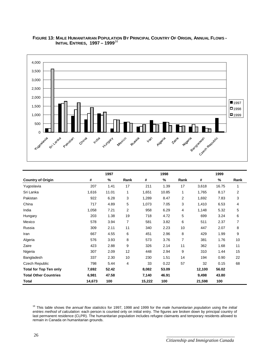

**FIGURE 13: MALE HUMANITARIAN POPULATION BY PRINCIPAL COUNTRY OF ORIGIN, ANNUAL FLOWS - INITIAL ENTRIES, 1997 – 1999***<sup>16</sup>*

|                               |        | 1997  |                |        | 1998  |      |        | 1999  |      |
|-------------------------------|--------|-------|----------------|--------|-------|------|--------|-------|------|
| <b>Country of Origin</b>      | #      | %     | Rank           | #      | %     | Rank | #      | %     | Rank |
| Yugoslavia                    | 207    | 1.41  | 17             | 211    | 1.39  | 17   | 3,618  | 16.75 | 1    |
| Sri Lanka                     | 1,616  | 11.01 | 1              | 1,651  | 10.85 | 1    | 1,765  | 8.17  | 2    |
| Pakistan                      | 922    | 6.28  | 3              | 1,289  | 8.47  | 2    | 1,692  | 7.83  | 3    |
| China                         | 717    | 4.89  | 5              | 1,073  | 7.05  | 3    | 1,410  | 6.53  | 4    |
| India                         | 1,058  | 7.21  | 2              | 958    | 6.29  | 4    | 1,148  | 5.32  | 5    |
| Hungary                       | 203    | 1.38  | 19             | 718    | 4.72  | 5    | 699    | 3.24  | 6    |
| Mexico                        | 578    | 3.94  | $\overline{7}$ | 581    | 3.82  | 6    | 511    | 2.37  | 7    |
| Russia                        | 309    | 2.11  | 11             | 340    | 2.23  | 10   | 447    | 2.07  | 8    |
| Iran                          | 667    | 4.55  | 6              | 451    | 2.96  | 8    | 429    | 1.99  | 9    |
| Algeria                       | 576    | 3.93  | 8              | 573    | 3.76  | 7    | 381    | 1.76  | 10   |
| Zaire                         | 423    | 2.88  | 9              | 326    | 2.14  | 11   | 362    | 1.68  | 11   |
| Nigeria                       | 307    | 2.09  | 12             | 448    | 2.94  | 9    | 310    | 1.44  | 15   |
| Bangladesh                    | 337    | 2.30  | 10             | 230    | 1.51  | 14   | 194    | 0.90  | 22   |
| Czech Republic                | 798    | 5.44  | 4              | 33     | 0.22  | 57   | 32     | 0.15  | 68   |
| <b>Total for Top Ten only</b> | 7,692  | 52.42 |                | 8,082  | 53.09 |      | 12,100 | 56.02 |      |
| <b>Total Other Countries</b>  | 6,981  | 47.58 |                | 7,140  | 46.91 |      | 9,498  | 43.80 |      |
| Total                         | 14,673 | 100   |                | 15,222 | 100   |      | 21,598 | 100   |      |

16 This table shows the *annual flow statistics* for 1997, 1998 and 1999 for the *male humanitarian population* using the *initial entries method of calculation*: each person is counted only on initial entry. The figures are broken down by principal country of last permanent residence (CLPR). The humanitarian population includes refugee claimants and temporary residents allowed to remain in Canada on humanitarian grounds.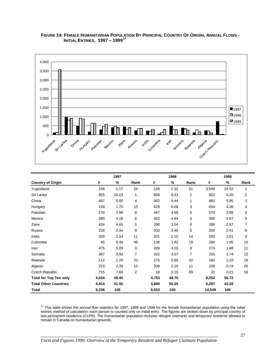

**FIGURE 14: FEMALE HUMANITARIAN POPULATION BY PRINCIPAL COUNTRY OF ORIGIN, ANNUAL FLOWS - INITIAL ENTRIES, 1997 – 1999<sup>17</sup>**

|                               |       | 1997  |                |       | 1998  |                |        | 1999  |      |
|-------------------------------|-------|-------|----------------|-------|-------|----------------|--------|-------|------|
| <b>Country of Origin</b>      | #     | %     | Rank           | #     | %     | Rank           | #      | %     | Rank |
| Yugoslavia                    | 109   | 1.17  | 24             | 126   | 1.32  | 21             | 3,568  | 24.52 | 1    |
| Sri Lanka                     | 955   | 10.23 | 1              | 805   | 8.43  | 2              | 902    | 6.20  | 2    |
| China                         | 467   | 5.00  | 4              | 902   | 9.44  | 1              | 865    | 5.95  | 3    |
| Hungary                       | 159   | 1.70  | 15             | 629   | 6.58  | 3              | 634    | 4.36  | 4    |
| Pakistan                      | 270   | 2.89  | 8              | 447   | 4.68  | 5              | 579    | 3.98  | 5    |
| Mexico                        | 390   | 4.18  | 6              | 462   | 4.84  | 4              | 389    | 2.67  | 6    |
| Zaire                         | 434   | 4.65  | 5              | 290   | 3.04  | 8              | 388    | 2.67  | 7    |
| Russia                        | 228   | 2.44  | 9              | 332   | 3.48  | 6              | 350    | 2.41  | 8    |
| India                         | 209   | 2.24  | 11             | 201   | 2.10  | 14             | 293    | 2.01  | 9    |
| Colombia                      | 45    | 0.48  | 46             | 136   | 1.42  | 19             | 284    | 1.95  | 10   |
| Iran                          | 475   | 5.09  | 3              | 289   | 3.03  | 9              | 274    | 1.88  | 11   |
| Somalia                       | 367   | 3.93  | $\overline{7}$ | 322   | 3.37  | $\overline{7}$ | 253    | 1.74  | 12   |
| Rwanda                        | 112   | 1.20  | 23             | 275   | 2.88  | 10             | 160    | 1.10  | 18   |
| Algeria                       | 223   | 2.39  | 10             | 209   | 2.19  | 11             | 108    | 0.74  | 26   |
| Czech Republic                | 715   | 7.66  | 2              | 18    | 0.19  | 69             | 31     | 0.21  | 59   |
| <b>Total for Top Ten only</b> | 4,524 | 48.45 |                | 4,753 | 49.75 |                | 8,252  | 56.72 |      |
| <b>Total Other Countries</b>  | 4,814 | 51.55 |                | 4,800 | 50.25 |                | 6,297  | 43.28 |      |
| Total                         | 9,338 | 100   |                | 9,553 | 100   |                | 14,549 | 100   |      |

17 This table shows the *annual flow statistics* for 1997, 1998 and 1999 for the *female humanitarian population* using the *initial entries method of calculation*: each person is counted only on initial entry. The figures are broken down by principal country of last permanent residence (CLPR). The humanitarian population includes refugee claimants and temporary residents allowed to remain in Canada on humanitarian grounds.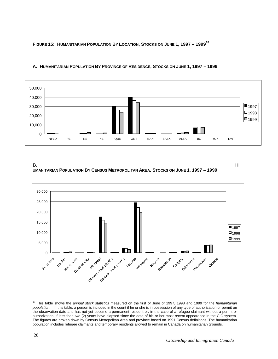**FIGURE 15: HUMANITARIAN POPULATION BY LOCATION, STOCKS ON JUNE 1, 1997 – 1999<sup>18</sup>**



#### **A. HUMANITARIAN POPULATION BY PROVINCE OF RESIDENCE, STOCKS ON JUNE 1, 1997 – 1999**

**B. H UMANITARIAN POPULATION BY CENSUS METROPOLITAN AREA, STOCKS ON JUNE 1, 1997 – 1999**



18 This table shows the *annual stock statistics* measured on the first of June of 1997, 1998 and 1999 for the *humanitarian population*. In this table, a person is included in the count if he or she is in possession of any type of authorization or permit on the observation date and has not yet become a permanent resident or, in the case of a refugee claimant without a permit or authorization, if less than two (2) years have elapsed since the date of his or her most recent appearance in the CIC system. The figures are broken down by Census Metropolitan Area and province based on 1991 Census definitions. The humanitarian population includes refugee claimants and temporary residents allowed to remain in Canada on humanitarian grounds.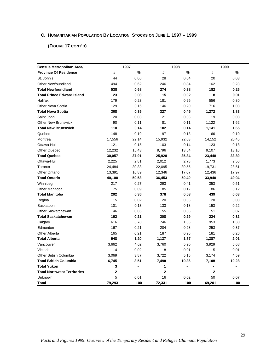#### **C. HUMANITARIAN POPULATION BY LOCATION, STOCKS ON JUNE 1, 1997 – 1999**

 **(FIGURE 17 CONT'D)**

| <b>Census Metropolitan Area/</b>   |                | 1997           |              | 1998           | 1999        |                          |  |
|------------------------------------|----------------|----------------|--------------|----------------|-------------|--------------------------|--|
| <b>Province Of Residence</b>       | #              | %              | #            | %              | #           | %                        |  |
| St. John's                         | 44             | 0.06           | 28           | 0.04           | 20          | 0.03                     |  |
| <b>Other Newfoundland</b>          | 494            | 0.62           | 246          | 0.34           | 162         | 0.23                     |  |
| <b>Total Newfoundland</b>          | 538            | 0.68           | 274          | 0.38           | 182         | 0.26                     |  |
| <b>Total Prince Edward Island</b>  | 23             | 0.03           | 15           | 0.02           | 8           | 0.01                     |  |
| Halifax                            | 179            | 0.23           | 181          | 0.25           | 556         | 0.80                     |  |
| Other Nova Scotia                  | 129            | 0.16           | 146          | 0.20           | 716         | 1.03                     |  |
| <b>Total Nova Scotia</b>           | 308            | 0.39           | 327          | 0.45           | 1,272       | 1.83                     |  |
| Saint John                         | 20             | 0.03           | 21           | 0.03           | 19          | 0.03                     |  |
| <b>Other New Brunswick</b>         | 90             | 0.11           | 81           | 0.11           | 1,122       | 1.62                     |  |
| <b>Total New Brunswick</b>         | 110            | 0.14           | 102          | 0.14           | 1,141       | 1.65                     |  |
| Quebec                             | 148            | 0.19           | 97           | 0.13           | 66          | 0.10                     |  |
| Montreal                           | 17,556         | 22.14          | 15,932       | 22.03          | 14,152      | 20.45                    |  |
| Ottawa-Hull                        | 121            | 0.15           | 103          | 0.14           | 123         | 0.18                     |  |
| <b>Other Quebec</b>                | 12,232         | 15.43          | 9,796        | 13.54          | 9,107       | 13.16                    |  |
| <b>Total Quebec</b>                | 30,057         | 37.91          | 25,928       | 35.84          | 23,448      | 33.89                    |  |
| Ottawa-Hull                        | 2,225          | 2.81           | 2,012        | 2.78           | 1,773       | 2.56                     |  |
| Toronto                            | 24,484         | 30.88          | 22,095       | 30.55          | 19,731      | 28.51                    |  |
| <b>Other Ontario</b>               | 13,391         | 16.89          | 12,346       | 17.07          | 12,436      | 17.97                    |  |
| <b>Total Ontario</b>               | 40,100         | 50.58          | 36,453       | 50.40          | 33,940      | 49.04                    |  |
| Winnipeg                           | 217            | 0.27           | 293          | 0.41           | 353         | 0.51                     |  |
| Other Manitoba                     | 75             | 0.09           | 85           | 0.12           | 86          | 0.12                     |  |
| <b>Total Manitoba</b>              | 292            | 0.36           | 378          | 0.53           | 439         | 0.63                     |  |
| Regina                             | 15             | 0.02           | 20           | 0.03           | 20          | 0.03                     |  |
| Saskatoon                          | 101            | 0.13           | 133          | 0.18           | 153         | 0.22                     |  |
| Other Saskatchewan                 | 46             | 0.06           | 55           | 0.08           | 51          | 0.07                     |  |
| <b>Total Saskatchewan</b>          | 162            | 0.21           | 208          | 0.29           | 224         | 0.32                     |  |
| Calgary                            | 616            | 0.78           | 746          | 1.03           | 953         | 1.38                     |  |
| Edmonton                           | 167            | 0.21           | 204          | 0.28           | 253         | 0.37                     |  |
| Other Alberta                      | 165            | 0.21           | 187          | 0.26           | 181         | 0.26                     |  |
| <b>Total Alberta</b>               | 948            | 1.20           | 1,137        | 1.57           | 1,387       | 2.01                     |  |
| Vancouver                          | 3,662          | 4.62           | 3,760        | 5.20           | 3,929       | 5.68                     |  |
| Victoria                           | 14             | 0.02           | 8            | 0.01           | 5           | 0.01                     |  |
| Other British Columbia             | 3,069          | 3.87           | 3,722        | 5.15           | 3,174       | 4.59                     |  |
| <b>Total British Columbia</b>      | 6,745          | 8.51           | 7,490        | 10.36          | 7,108       | 10.28                    |  |
| <b>Total Yukon</b>                 | 3              | $\blacksquare$ | $\mathbf{1}$ | $\blacksquare$ |             | $\overline{\phantom{0}}$ |  |
| <b>Total Northwest Territories</b> | $\overline{2}$ | $\blacksquare$ | $\mathbf{2}$ | $\blacksquare$ | $\mathbf 2$ |                          |  |
| Unknown                            | 5              | 0.01           | 16           | 0.02           | 50          | 0.07                     |  |
| <b>Total</b>                       | 79.293         | 100            | 72,331       | 100            | 69,201      | 100                      |  |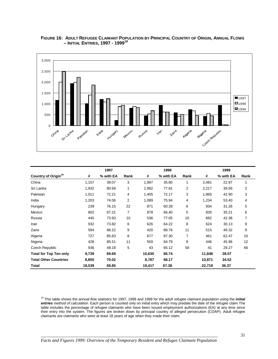

**FIGURE 16: ADULT REFUGEE CLAIMANT POPULATION BY PRINCIPAL COUNTRY OF ORIGIN, ANNUAL FLOWS – INITIAL ENTRIES, 1997 - 1999<sup>19</sup>**

|                                 |        | 1997      |                | 1998   |           |      | 1999   |           |                |  |
|---------------------------------|--------|-----------|----------------|--------|-----------|------|--------|-----------|----------------|--|
| Country of Origin <sup>19</sup> | #      | % with EA | Rank           | #      | % with EA | Rank | #      | % with EA | Rank           |  |
| China                           | 1,157  | 39.07     | 3              | 1,997  | 35.80     | 1    | 2,481  | 22.97     | 1              |  |
| Sri Lanka                       | 1,932  | 80.69     | 1              | 1,992  | 77.81     | 2    | 2,217  | 39.56     | $\overline{2}$ |  |
| Pakistan                        | 1,011  | 72.21     | 4              | 1,405  | 72.17     | 3    | 1,865  | 42.90     | 3              |  |
| India                           | 1,203  | 74.06     | $\overline{2}$ | 1,089  | 75.94     | 4    | 1,234  | 53.40     | 4              |  |
| Hungary                         | 239    | 76.15     | 22             | 871    | 60.28     | 6    | 934    | 31.26     | 5              |  |
| Mexico                          | 802    | 67.21     | 7              | 878    | 66.40     | 5    | 835    | 35.21     | 6              |  |
| Russia                          | 445    | 73.93     | 10             | 536    | 77.05     | 10   | 682    | 42.38     | 7              |  |
| Iran                            | 932    | 73.82     | 6              | 626    | 64.22     | 8    | 624    | 30.13     | 8              |  |
| Zaire                           | 594    | 88.22     | 9              | 420    | 89.76     | 11   | 515    | 49.32     | 9              |  |
| Algeria                         | 727    | 85.83     | 8              | 677    | 87.30     | 7    | 461    | 62.47     | 10             |  |
| Nigeria                         | 428    | 85.51     | 11             | 559    | 84.79     | 9    | 446    | 45.96     | 12             |  |
| Czech Republic                  | 936    | 48.18     | 5              | 43     | 65.12     | 58   | 41     | 29.27     | 66             |  |
| <b>Total for Top Ten only</b>   | 9,739  | 69.69     |                | 10,630 | 66.74     |      | 11,848 | 38.07     |                |  |
| <b>Total Other Countries</b>    | 8,800  | 70.02     |                | 8,787  | 68.17     |      | 10,871 | 34.52     |                |  |
| Total                           | 18,539 | 69.85     |                | 19,417 | 67.38     |      | 22,719 | 36.37     |                |  |

19 This table shows the *annual flow statistics* for 1997, 1998 and 1999 for the *adult refugee claimant population* using the *initial entries method of calculation*. Each person is counted only on initial entry which may predate the date of the refugee claim The table includes the percentage of refugee claimants who have been issued employment authorizations (EA) at any time since their entry into the system. The figures are broken down by principal country of alleged persecution (COAP). Adult refugee claimants are claimants who were at least 18 years of age when they made their claim.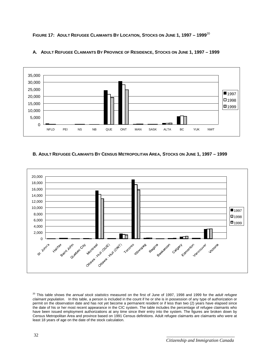**FIGURE 17: ADULT REFUGEE CLAIMANTS BY LOCATION, STOCKS ON JUNE 1, 1997 – 1999**<sup>20</sup>



#### **A. ADULT REFUGEE CLAIMANTS BY PROVINCE OF RESIDENCE, STOCKS ON JUNE 1, 1997 – 1999**

#### **B. ADULT REFUGEE CLAIMANTS BY CENSUS METROPOLITAN AREA, STOCKS ON JUNE 1, 1997 – 1999**



<sup>20</sup> This table shows the *annual stock statistics* measured on the first of June of 1997, 1998 and 1999 for the *adult refugee claimant population*. In this table, a person is included in the count if he or she is in possession of any type of authorization or permit on the observation date and has not yet become a permanent resident or if less than two (2) years have elapsed since the date of his or her most recent appearance in the CIC system. The table includes the percentage of refugee claimants who have been issued employment authorizations at any time since their entry into the system. The figures are broken down by Census Metropolitan Area and province based on 1991 Census definitions. Adult refugee claimants are claimants who were at least 18 years of age on the date of the stock calculation.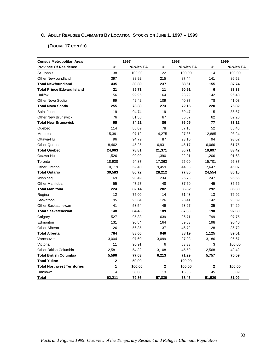#### **C. ADULT REFUGEE CLAIMANTS BY LOCATION, STOCKS ON JUNE 1, 1997 – 1999**

#### **(FIGURE 17 CONT'D)**

| <b>Census Metropolitan Area/</b>   | 1997           |           |                | 1998      | 1999                     |                          |  |
|------------------------------------|----------------|-----------|----------------|-----------|--------------------------|--------------------------|--|
| <b>Province Of Residence</b>       | #              | % with EA | #              | % with EA | #                        | % with EA                |  |
| St. John's                         | 38             | 100.00    | 22             | 100.00    | 14                       | 100.00                   |  |
| <b>Other Newfoundland</b>          | 397            | 88.92     | 215            | 87.44     | 141                      | 86.52                    |  |
| <b>Total Newfoundland</b>          | 435            | 89.89     | 237            | 88.61     | 155                      | 87.74                    |  |
| <b>Total Prince Edward Island</b>  | 21             | 85.71     | 11             | 90.91     | 6                        | 83.33                    |  |
| Halifax                            | 156            | 92.95     | 164            | 93.29     | 142                      | 96.48                    |  |
| <b>Other Nova Scotia</b>           | 99             | 42.42     | 109            | 40.37     | 78                       | 41.03                    |  |
| <b>Total Nova Scotia</b>           | 255            | 73.33     | 273            | 72.16     | 220                      | 76.82                    |  |
| Saint John                         | 19             | 94.74     | 19             | 89.47     | 15                       | 86.67                    |  |
| <b>Other New Brunswick</b>         | 76             | 81.58     | 67             | 85.07     | 62                       | 82.26                    |  |
| <b>Total New Brunswick</b>         | 95             | 84.21     | 86             | 86.05     | 77                       | 83.12                    |  |
| Quebec                             | 114            | 85.09     | 78             | 87.18     | 52                       | 88.46                    |  |
| Montreal                           | 15,391         | 97.12     | 14,275         | 97.86     | 12,885                   | 98.24                    |  |
| Ottawa-Hull                        | 96             | 94.79     | 87             | 93.10     | 94                       | 93.62                    |  |
| <b>Other Quebec</b>                | 8,462          | 45.25     | 6,931          | 45.17     | 6,066                    | 51.75                    |  |
| <b>Total Quebec</b>                | 24,063         | 78.81     | 21,371         | 80.71     | 19,097                   | 83.42                    |  |
| Ottawa-Hull                        | 1,526          | 92.99     | 1,390          | 92.01     | 1,206                    | 91.63                    |  |
| Toronto                            | 18,938         | 94.87     | 17,363         | 95.00     | 15,701                   | 95.87                    |  |
| Other Ontario                      | 10,119         | 52.40     | 9,459          | 44.33     | 7,647                    | 46.07                    |  |
| <b>Total Ontario</b>               | 30,583         | 80.72     | 28,212         | 77.86     | 24,554                   | 80.15                    |  |
| Winnipeg                           | 169            | 93.49     | 234            | 95.73     | 247                      | 95.55                    |  |
| Other Manitoba                     | 55             | 47.27     | 48             | 37.50     | 45                       | 35.56                    |  |
| <b>Total Manitoba</b>              | 224            | 82.14     | 282            | 85.82     | 292                      | 86.30                    |  |
| Regina                             | 12             | 75.00     | 14             | 71.43     | 13                       | 76.92                    |  |
| Saskatoon                          | 95             | 96.84     | 126            | 98.41     | 142                      | 98.59                    |  |
| Other Saskatchewan                 | 41             | 58.54     | 49             | 63.27     | 35                       | 74.29                    |  |
| <b>Total Saskatchewan</b>          | 148            | 84.46     | 189            | 87.30     | 190                      | 92.63                    |  |
| Calgary                            | 527            | 95.83     | 639            | 96.71     | 799                      | 97.75                    |  |
| Edmonton                           | 131            | 90.84     | 164            | 89.63     | 198                      | 90.40                    |  |
| Other Alberta                      | 126            | 56.35     | 137            | 46.72     | 128                      | 36.72                    |  |
| <b>Total Alberta</b>               | 784            | 88.65     | 940            | 88.19     | 1,125                    | 89.51                    |  |
| Vancouver                          | 3,004          | 97.60     | 3,099          | 97.03     | 3,186                    | 96.67                    |  |
| Victoria                           | 11             | 90.91     | 6              | 83.33     | 3                        | 100.00                   |  |
| Other British Columbia             | 2,581          | 54.32     | 3,108          | 45.59     | 2,568                    | 49.42                    |  |
| <b>Total British Columbia</b>      | 5,596          | 77.63     | 6,213          | 71.29     | 5,757                    | 75.59                    |  |
| <b>Total Yukon</b>                 | $\overline{2}$ | 50.00     | $\mathbf{1}$   | 100.00    | $\overline{\phantom{a}}$ | $\overline{\phantom{0}}$ |  |
| <b>Total Northwest Territories</b> | 1              | 100.00    | $\overline{2}$ | 100.00    | $\mathbf 2$              | 100.00                   |  |
| Unknown                            | 4              | 50.00     | 13             | 15.38     | 45                       | 8.89                     |  |
| Total                              | 62.211         | 79.86     | 57,830         | 78.46     | 51,520                   | 81.09                    |  |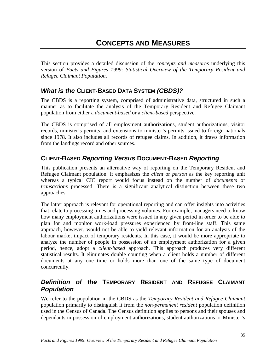This section provides a detailed discussion of the *concepts and measures* underlying this version of *Facts and Figures 1999: Statistical Overview of the Temporary Resident and Refugee Claimant Population*.

### *What is the* **CLIENT-BASED DATA SYSTEM** *(CBDS)?*

The CBDS is a reporting system, comprised of administrative data, structured in such a manner as to facilitate the analysis of the Temporary Resident and Refugee Claimant population from either a *document-based* or a *client-based* perspective.

The CBDS is comprised of all employment authorizations, student authorizations, visitor records, minister's permits, and extensions to minister's permits issued to foreign nationals since 1978. It also includes all records of refugee claims. In addition, it draws information from the landings record and other sources.

### **CLIENT-BASED** *Reporting Versus* **DOCUMENT-BASED** *Reporting*

This publication presents an alternative way of reporting on the Temporary Resident and Refugee Claimant population. It emphasizes the *client* or *person* as the key reporting unit whereas a typical CIC report would focus instead on the number of *documents* or *transactions* processed. There is a significant analytical distinction between these two approaches.

The latter approach is relevant for operational reporting and can offer insights into activities that relate to processing times and processing volumes. For example, managers need to know how many employment authorizations were issued in any given period in order to be able to plan for and monitor work-load pressures experienced by front-line staff. This same approach, however, would not be able to yield relevant information for an analysis of the labour market impact of temporary residents. In this case, it would be more appropriate to analyze the number of people in possession of an employment authorization for a given period, hence, adopt a *client-based* approach. This approach produces very different statistical results. It eliminates double counting when a client holds a number of different documents at any one time or holds more than one of the same type of document concurrently.

### *Definition of the* **TEMPORARY RESIDENT AND REFUGEE CLAIMANT** *Population*

We refer to the population in the CBDS as the *Temporary Resident and Refugee Claimant* population primarily to distinguish it from the *non-permanent resident* population definition used in the Census of Canada. The Census definition applies to persons and their spouses and dependants in possession of employment authorizations, student authorizations or Minister's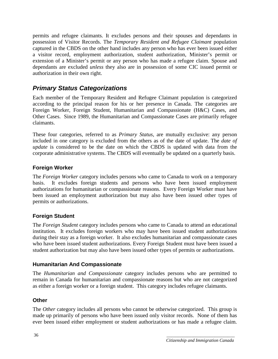permits and refugee claimants. It excludes persons and their spouses and dependants in possession of Visitor Records. The *Temporary Resident and Refugee Claimant* population captured in the CBDS on the other hand includes any person who has ever been issued either a visitor record, employment authorization, student authorization, Minister's permit or extension of a Minister's permit or any person who has made a refugee claim. Spouse and dependants are excluded *unless* they also are in possession of some CIC issued permit or authorization in their own right.

### *Primary Status Categorizations*

Each member of the Temporary Resident and Refugee Claimant population is categorized according to the principal reason for his or her presence in Canada. The categories are Foreign Worker, Foreign Student, Humanitarian and Compassionate (H&C) Cases, and Other Cases. Since 1989, the Humanitarian and Compassionate Cases are primarily refugee claimants.

These four categories, referred to as *Primary Status*, are mutually exclusive: any person included in one category is excluded from the others as of the date of update. The *date of update* is considered to be the date on which the CBDS is updated with data from the corporate administrative systems. The CBDS will eventually be updated on a quarterly basis.

#### **Foreign Worker**

The *Foreign Worker* category includes persons who came to Canada to work on a temporary basis. It excludes foreign students and persons who have been issued employment authorizations for humanitarian or compassionate reasons. Every Foreign Worker must have been issued an employment authorization but may also have been issued other types of permits or authorizations.

#### **Foreign Student**

The *Foreign Student* category includes persons who came to Canada to attend an educational institution. It excludes foreign workers who may have been issued student authorizations during their stay as a foreign worker. It also excludes humanitarian and compassionate cases who have been issued student authorizations. Every Foreign Student must have been issued a student authorization but may also have been issued other types of permits or authorizations.

#### **Humanitarian And Compassionate**

The *Humanitarian and Compassionate* category includes persons who are permitted to remain in Canada for humanitarian and compassionate reasons but who are not categorized as either a foreign worker or a foreign student. This category includes refugee claimants.

#### **Other**

The *Other* category includes all persons who cannot be otherwise categorized. This group is made up primarily of persons who have been issued only visitor records. None of them has ever been issued either employment or student authorizations or has made a refugee claim.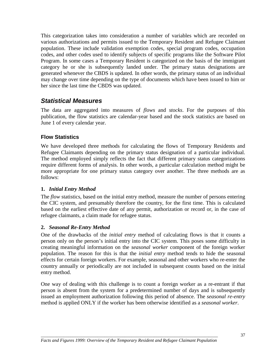This categorization takes into consideration a number of variables which are recorded on various authorizations and permits issued to the Temporary Resident and Refugee Claimant population. These include validation exemption codes, special program codes, occupation codes, and other codes used to identify subjects of specific programs like the Software Pilot Program. In some cases a Temporary Resident is categorized on the basis of the immigrant category he or she is subsequently landed under. The primary status designations are generated whenever the CBDS is updated. In other words, the primary status of an individual may change over time depending on the type of documents which have been issued to him or her since the last time the CBDS was updated.

### *Statistical Measures*

The data are aggregated into measures of *flows* and *stocks*. For the purposes of this publication, the flow statistics are calendar-year based and the stock statistics are based on June 1 of every calendar year.

### **Flow Statistics**

We have developed three methods for calculating the flows of Temporary Residents and Refugee Claimants depending on the primary status designation of a particular individual. The method employed simply reflects the fact that different primary status categorizations require different forms of analysis. In other words, a particular calculation method might be more appropriate for one primary status category over another. The three methods are as follows:

#### **1.** *Initial Entry Method*

The *flow* statistics, based on the initial entry method, measure the number of persons entering the CIC system, and presumably therefore the country, for the first time. This is calculated based on the earliest effective date of any permit, authorization or record or, in the case of refugee claimants, a claim made for refugee status.

#### **2.** *Seasonal Re-Entry Method*

One of the drawbacks of the *initial entry* method of calculating flows is that it counts a person only on the person's initial entry into the CIC system. This poses some difficulty in creating meaningful information on the *seasonal worker* component of the foreign worker population. The reason for this is that the *initial entry* method tends to hide the seasonal effects for certain foreign workers. For example, seasonal and other workers who re-enter the country annually or periodically are not included in subsequent counts based on the initial entry method.

One way of dealing with this challenge is to count a foreign worker as a re-entrant if that person is absent from the system for a predetermined number of days and is subsequently issued an employment authorization following this period of absence. The *seasonal re-entry* method is applied ONLY if the worker has been otherwise identified as a *seasonal worker*.